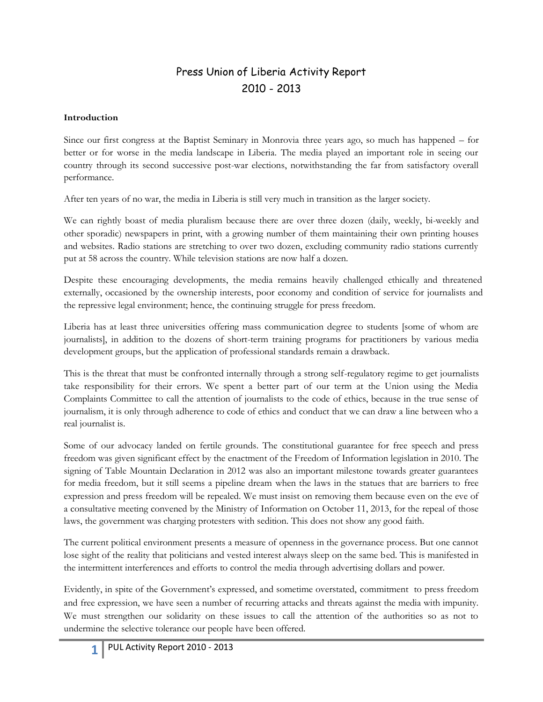# Press Union of Liberia Activity Report 2010 - 2013

#### **Introduction**

Since our first congress at the Baptist Seminary in Monrovia three years ago, so much has happened – for better or for worse in the media landscape in Liberia. The media played an important role in seeing our country through its second successive post-war elections, notwithstanding the far from satisfactory overall performance.

After ten years of no war, the media in Liberia is still very much in transition as the larger society.

We can rightly boast of media pluralism because there are over three dozen (daily, weekly, bi-weekly and other sporadic) newspapers in print, with a growing number of them maintaining their own printing houses and websites. Radio stations are stretching to over two dozen, excluding community radio stations currently put at 58 across the country. While television stations are now half a dozen.

Despite these encouraging developments, the media remains heavily challenged ethically and threatened externally, occasioned by the ownership interests, poor economy and condition of service for journalists and the repressive legal environment; hence, the continuing struggle for press freedom.

Liberia has at least three universities offering mass communication degree to students [some of whom are journalists], in addition to the dozens of short-term training programs for practitioners by various media development groups, but the application of professional standards remain a drawback.

This is the threat that must be confronted internally through a strong self-regulatory regime to get journalists take responsibility for their errors. We spent a better part of our term at the Union using the Media Complaints Committee to call the attention of journalists to the code of ethics, because in the true sense of journalism, it is only through adherence to code of ethics and conduct that we can draw a line between who a real journalist is.

Some of our advocacy landed on fertile grounds. The constitutional guarantee for free speech and press freedom was given significant effect by the enactment of the Freedom of Information legislation in 2010. The signing of Table Mountain Declaration in 2012 was also an important milestone towards greater guarantees for media freedom, but it still seems a pipeline dream when the laws in the statues that are barriers to free expression and press freedom will be repealed. We must insist on removing them because even on the eve of a consultative meeting convened by the Ministry of Information on October 11, 2013, for the repeal of those laws, the government was charging protesters with sedition. This does not show any good faith.

The current political environment presents a measure of openness in the governance process. But one cannot lose sight of the reality that politicians and vested interest always sleep on the same bed. This is manifested in the intermittent interferences and efforts to control the media through advertising dollars and power.

Evidently, in spite of the Government's expressed, and sometime overstated, commitment to press freedom and free expression, we have seen a number of recurring attacks and threats against the media with impunity. We must strengthen our solidarity on these issues to call the attention of the authorities so as not to undermine the selective tolerance our people have been offered.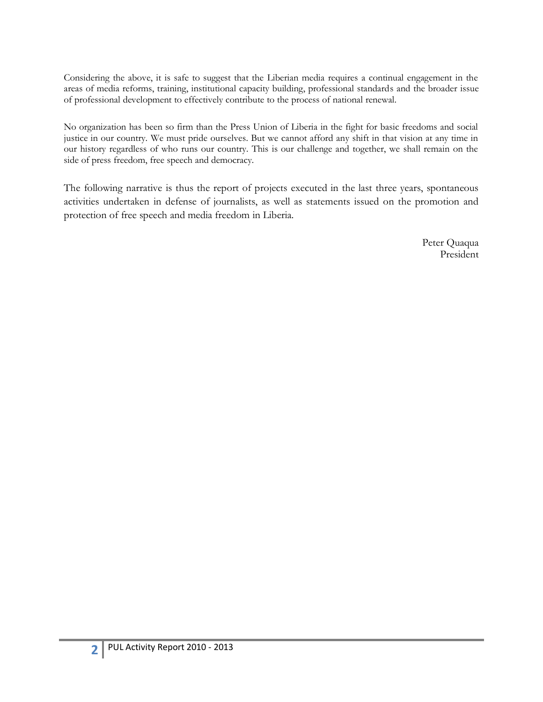Considering the above, it is safe to suggest that the Liberian media requires a continual engagement in the areas of media reforms, training, institutional capacity building, professional standards and the broader issue of professional development to effectively contribute to the process of national renewal.

No organization has been so firm than the Press Union of Liberia in the fight for basic freedoms and social justice in our country. We must pride ourselves. But we cannot afford any shift in that vision at any time in our history regardless of who runs our country. This is our challenge and together, we shall remain on the side of press freedom, free speech and democracy.

The following narrative is thus the report of projects executed in the last three years, spontaneous activities undertaken in defense of journalists, as well as statements issued on the promotion and protection of free speech and media freedom in Liberia.

> Peter Quaqua President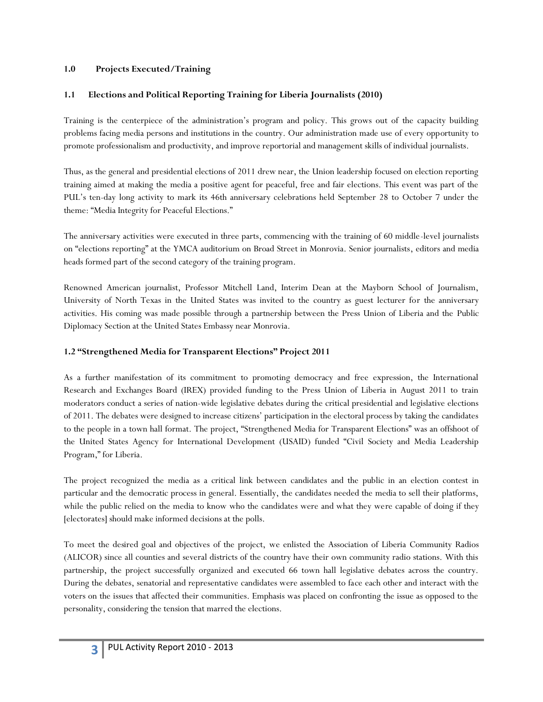#### **1.0 Projects Executed/Training**

#### **1.1 Elections and Political Reporting Training for Liberia Journalists (2010)**

Training is the centerpiece of the administration's program and policy. This grows out of the capacity building problems facing media persons and institutions in the country. Our administration made use of every opportunity to promote professionalism and productivity, and improve reportorial and management skills of individual journalists.

Thus, as the general and presidential elections of 2011 drew near, the Union leadership focused on election reporting training aimed at making the media a positive agent for peaceful, free and fair elections. This event was part of the PUL's ten-day long activity to mark its 46th anniversary celebrations held September 28 to October 7 under the theme: "Media Integrity for Peaceful Elections."

The anniversary activities were executed in three parts, commencing with the training of 60 middle-level journalists on "elections reporting" at the YMCA auditorium on Broad Street in Monrovia. Senior journalists, editors and media heads formed part of the second category of the training program.

Renowned American journalist, Professor Mitchell Land, Interim Dean at the Mayborn School of Journalism, University of North Texas in the United States was invited to the country as guest lecturer for the anniversary activities. His coming was made possible through a partnership between the Press Union of Liberia and the Public Diplomacy Section at the United States Embassy near Monrovia.

#### **1.2 "Strengthened Media for Transparent Elections" Project 2011**

As a further manifestation of its commitment to promoting democracy and free expression, the International Research and Exchanges Board (IREX) provided funding to the Press Union of Liberia in August 2011 to train moderators conduct a series of nation-wide legislative debates during the critical presidential and legislative elections of 2011. The debates were designed to increase citizens' participation in the electoral process by taking the candidates to the people in a town hall format. The project, "Strengthened Media for Transparent Elections" was an offshoot of the United States Agency for International Development (USAID) funded "Civil Society and Media Leadership Program," for Liberia.

The project recognized the media as a critical link between candidates and the public in an election contest in particular and the democratic process in general. Essentially, the candidates needed the media to sell their platforms, while the public relied on the media to know who the candidates were and what they were capable of doing if they [electorates] should make informed decisions at the polls.

To meet the desired goal and objectives of the project, we enlisted the Association of Liberia Community Radios (ALICOR) since all counties and several districts of the country have their own community radio stations. With this partnership, the project successfully organized and executed 66 town hall legislative debates across the country. During the debates, senatorial and representative candidates were assembled to face each other and interact with the voters on the issues that affected their communities. Emphasis was placed on confronting the issue as opposed to the personality, considering the tension that marred the elections.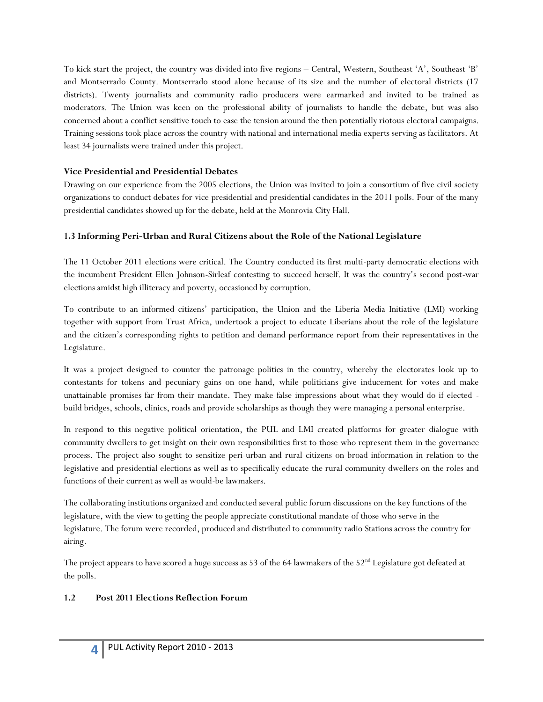To kick start the project, the country was divided into five regions – Central, Western, Southeast 'A', Southeast 'B' and Montserrado County. Montserrado stood alone because of its size and the number of electoral districts (17 districts). Twenty journalists and community radio producers were earmarked and invited to be trained as moderators. The Union was keen on the professional ability of journalists to handle the debate, but was also concerned about a conflict sensitive touch to ease the tension around the then potentially riotous electoral campaigns. Training sessions took place across the country with national and international media experts serving as facilitators. At least 34 journalists were trained under this project.

#### **Vice Presidential and Presidential Debates**

Drawing on our experience from the 2005 elections, the Union was invited to join a consortium of five civil society organizations to conduct debates for vice presidential and presidential candidates in the 2011 polls. Four of the many presidential candidates showed up for the debate, held at the Monrovia City Hall.

#### **1.3 Informing Peri-Urban and Rural Citizens about the Role of the National Legislature**

The 11 October 2011 elections were critical. The Country conducted its first multi-party democratic elections with the incumbent President Ellen Johnson-Sirleaf contesting to succeed herself. It was the country's second post-war elections amidst high illiteracy and poverty, occasioned by corruption.

To contribute to an informed citizens' participation, the Union and the Liberia Media Initiative (LMI) working together with support from Trust Africa, undertook a project to educate Liberians about the role of the legislature and the citizen's corresponding rights to petition and demand performance report from their representatives in the Legislature.

It was a project designed to counter the patronage politics in the country, whereby the electorates look up to contestants for tokens and pecuniary gains on one hand, while politicians give inducement for votes and make unattainable promises far from their mandate. They make false impressions about what they would do if elected build bridges, schools, clinics, roads and provide scholarships as though they were managing a personal enterprise.

In respond to this negative political orientation, the PUL and LMI created platforms for greater dialogue with community dwellers to get insight on their own responsibilities first to those who represent them in the governance process. The project also sought to sensitize peri-urban and rural citizens on broad information in relation to the legislative and presidential elections as well as to specifically educate the rural community dwellers on the roles and functions of their current as well as would-be lawmakers.

The collaborating institutions organized and conducted several public forum discussions on the key functions of the legislature, with the view to getting the people appreciate constitutional mandate of those who serve in the legislature. The forum were recorded, produced and distributed to community radio Stations across the country for airing.

The project appears to have scored a huge success as 53 of the 64 lawmakers of the  $52<sup>nd</sup>$  Legislature got defeated at the polls.

### **1.2 Post 2011 Elections Reflection Forum**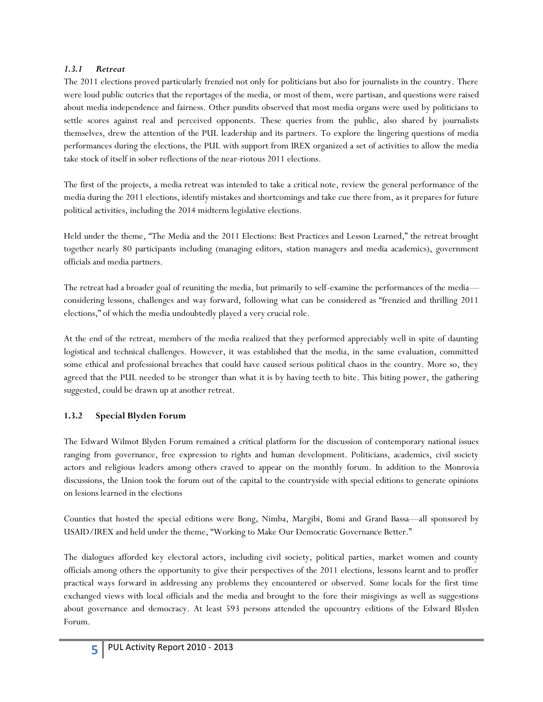#### *1.3.1 Retreat*

The 2011 elections proved particularly frenzied not only for politicians but also for journalists in the country. There were loud public outcries that the reportages of the media, or most of them, were partisan, and questions were raised about media independence and fairness. Other pundits observed that most media organs were used by politicians to settle scores against real and perceived opponents. These queries from the public, also shared by journalists themselves, drew the attention of the PUL leadership and its partners. To explore the lingering questions of media performances during the elections, the PUL with support from IREX organized a set of activities to allow the media take stock of itself in sober reflections of the near-riotous 2011 elections.

The first of the projects, a media retreat was intended to take a critical note, review the general performance of the media during the 2011 elections, identify mistakes and shortcomings and take cue there from, as it prepares for future political activities, including the 2014 midterm legislative elections.

Held under the theme, "The Media and the 2011 Elections: Best Practices and Lesson Learned," the retreat brought together nearly 80 participants including (managing editors, station managers and media academics), government officials and media partners.

The retreat had a broader goal of reuniting the media, but primarily to self-examine the performances of the media considering lessons, challenges and way forward, following what can be considered as "frenzied and thrilling 2011 elections," of which the media undoubtedly played a very crucial role.

At the end of the retreat, members of the media realized that they performed appreciably well in spite of daunting logistical and technical challenges. However, it was established that the media, in the same evaluation, committed some ethical and professional breaches that could have caused serious political chaos in the country. More so, they agreed that the PUL needed to be stronger than what it is by having teeth to bite. This biting power, the gathering suggested, could be drawn up at another retreat.

### **1.3.2 Special Blyden Forum**

The Edward Wilmot Blyden Forum remained a critical platform for the discussion of contemporary national issues ranging from governance, free expression to rights and human development. Politicians, academics, civil society actors and religious leaders among others craved to appear on the monthly forum. In addition to the Monrovia discussions, the Union took the forum out of the capital to the countryside with special editions to generate opinions on lesions learned in the elections

Counties that hosted the special editions were Bong, Nimba, Margibi, Bomi and Grand Bassa—all sponsored by USAID/IREX and held under the theme, "Working to Make Our Democratic Governance Better."

The dialogues afforded key electoral actors, including civil society, political parties, market women and county officials among others the opportunity to give their perspectives of the 2011 elections, lessons learnt and to proffer practical ways forward in addressing any problems they encountered or observed. Some locals for the first time exchanged views with local officials and the media and brought to the fore their misgivings as well as suggestions about governance and democracy. At least 593 persons attended the upcountry editions of the Edward Blyden Forum.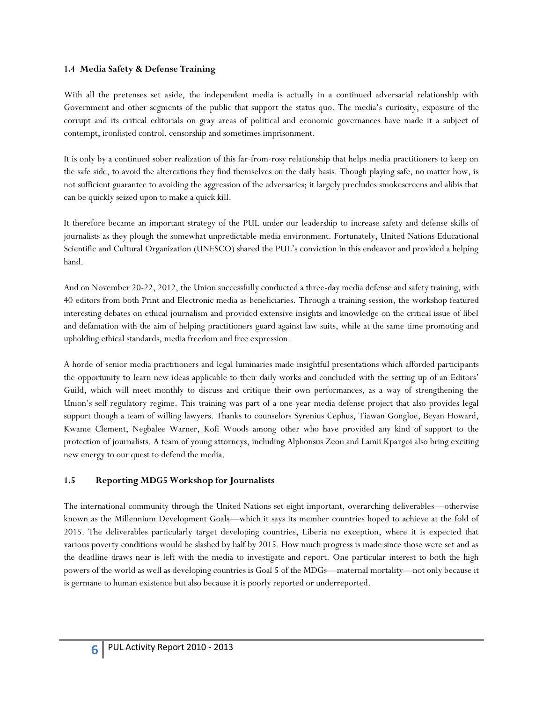#### **1.4 Media Safety & Defense Training**

With all the pretenses set aside, the independent media is actually in a continued adversarial relationship with Government and other segments of the public that support the status quo. The media's curiosity, exposure of the corrupt and its critical editorials on gray areas of political and economic governances have made it a subject of contempt, ironfisted control, censorship and sometimes imprisonment.

It is only by a continued sober realization of this far-from-rosy relationship that helps media practitioners to keep on the safe side, to avoid the altercations they find themselves on the daily basis. Though playing safe, no matter how, is not sufficient guarantee to avoiding the aggression of the adversaries; it largely precludes smokescreens and alibis that can be quickly seized upon to make a quick kill.

It therefore became an important strategy of the PUL under our leadership to increase safety and defense skills of journalists as they plough the somewhat unpredictable media environment. Fortunately, United Nations Educational Scientific and Cultural Organization (UNESCO) shared the PUL's conviction in this endeavor and provided a helping hand.

And on November 20-22, 2012, the Union successfully conducted a three-day media defense and safety training, with 40 editors from both Print and Electronic media as beneficiaries. Through a training session, the workshop featured interesting debates on ethical journalism and provided extensive insights and knowledge on the critical issue of libel and defamation with the aim of helping practitioners guard against law suits, while at the same time promoting and upholding ethical standards, media freedom and free expression.

A horde of senior media practitioners and legal luminaries made insightful presentations which afforded participants the opportunity to learn new ideas applicable to their daily works and concluded with the setting up of an Editors' Guild, which will meet monthly to discuss and critique their own performances, as a way of strengthening the Union's self regulatory regime. This training was part of a one-year media defense project that also provides legal support though a team of willing lawyers. Thanks to counselors Syrenius Cephus, Tiawan Gongloe, Beyan Howard, Kwame Clement, Negbalee Warner, Kofi Woods among other who have provided any kind of support to the protection of journalists. A team of young attorneys, including Alphonsus Zeon and Lamii Kpargoi also bring exciting new energy to our quest to defend the media.

#### **1.5 Reporting MDG5 Workshop for Journalists**

The international community through the United Nations set eight important, overarching deliverables—otherwise known as the Millennium Development Goals—which it says its member countries hoped to achieve at the fold of 2015. The deliverables particularly target developing countries, Liberia no exception, where it is expected that various poverty conditions would be slashed by half by 2015. How much progress is made since those were set and as the deadline draws near is left with the media to investigate and report. One particular interest to both the high powers of the world as well as developing countries is Goal 5 of the MDGs—maternal mortality—not only because it is germane to human existence but also because it is poorly reported or underreported.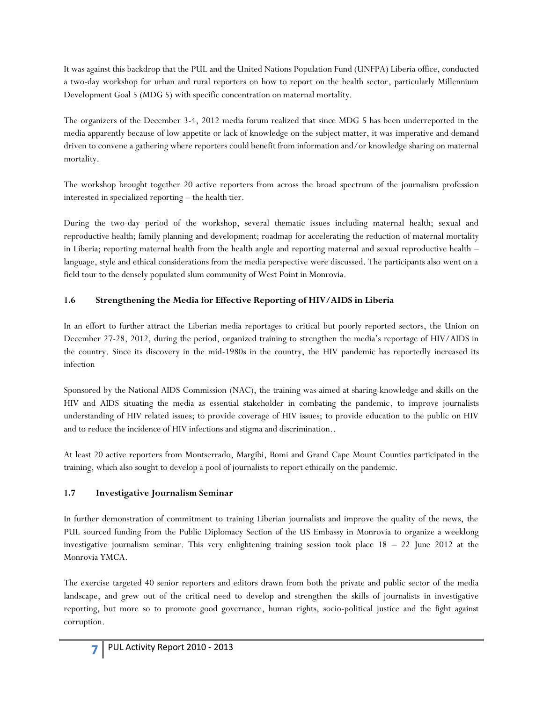It was against this backdrop that the PUL and the United Nations Population Fund (UNFPA) Liberia office, conducted a two-day workshop for urban and rural reporters on how to report on the health sector, particularly Millennium Development Goal 5 (MDG 5) with specific concentration on maternal mortality.

The organizers of the December 3-4, 2012 media forum realized that since MDG 5 has been underreported in the media apparently because of low appetite or lack of knowledge on the subject matter, it was imperative and demand driven to convene a gathering where reporters could benefit from information and/or knowledge sharing on maternal mortality.

The workshop brought together 20 active reporters from across the broad spectrum of the journalism profession interested in specialized reporting – the health tier.

During the two-day period of the workshop, several thematic issues including maternal health; sexual and reproductive health; family planning and development; roadmap for accelerating the reduction of maternal mortality in Liberia; reporting maternal health from the health angle and reporting maternal and sexual reproductive health – language, style and ethical considerations from the media perspective were discussed. The participants also went on a field tour to the densely populated slum community of West Point in Monrovia.

# **1.6 Strengthening the Media for Effective Reporting of HIV/AIDS in Liberia**

In an effort to further attract the Liberian media reportages to critical but poorly reported sectors, the Union on December 27-28, 2012, during the period, organized training to strengthen the media's reportage of HIV/AIDS in the country. Since its discovery in the mid-1980s in the country, the HIV pandemic has reportedly increased its infection

Sponsored by the National AIDS Commission (NAC), the training was aimed at sharing knowledge and skills on the HIV and AIDS situating the media as essential stakeholder in combating the pandemic, to improve journalists understanding of HIV related issues; to provide coverage of HIV issues; to provide education to the public on HIV and to reduce the incidence of HIV infections and stigma and discrimination..

At least 20 active reporters from Montserrado, Margibi, Bomi and Grand Cape Mount Counties participated in the training, which also sought to develop a pool of journalists to report ethically on the pandemic.

### **1.7 Investigative Journalism Seminar**

In further demonstration of commitment to training Liberian journalists and improve the quality of the news, the PUL sourced funding from the Public Diplomacy Section of the US Embassy in Monrovia to organize a weeklong investigative journalism seminar. This very enlightening training session took place  $18 - 22$  June 2012 at the Monrovia YMCA.

The exercise targeted 40 senior reporters and editors drawn from both the private and public sector of the media landscape, and grew out of the critical need to develop and strengthen the skills of journalists in investigative reporting, but more so to promote good governance, human rights, socio-political justice and the fight against corruption.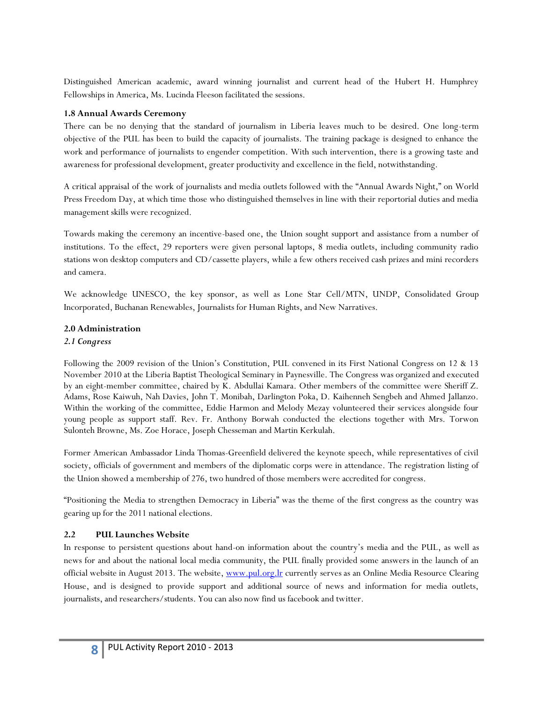Distinguished American academic, award winning journalist and current head of the Hubert H. Humphrey Fellowships in America, Ms. Lucinda Fleeson facilitated the sessions.

#### **1.8 Annual Awards Ceremony**

There can be no denying that the standard of journalism in Liberia leaves much to be desired. One long-term objective of the PUL has been to build the capacity of journalists. The training package is designed to enhance the work and performance of journalists to engender competition. With such intervention, there is a growing taste and awareness for professional development, greater productivity and excellence in the field, notwithstanding.

A critical appraisal of the work of journalists and media outlets followed with the "Annual Awards Night," on World Press Freedom Day, at which time those who distinguished themselves in line with their reportorial duties and media management skills were recognized.

Towards making the ceremony an incentive-based one, the Union sought support and assistance from a number of institutions. To the effect, 29 reporters were given personal laptops, 8 media outlets, including community radio stations won desktop computers and CD/cassette players, while a few others received cash prizes and mini recorders and camera.

We acknowledge UNESCO, the key sponsor, as well as Lone Star Cell/MTN, UNDP, Consolidated Group Incorporated, Buchanan Renewables, Journalists for Human Rights, and New Narratives.

#### **2.0 Administration**

#### *2.1 Congress*

Following the 2009 revision of the Union's Constitution, PUL convened in its First National Congress on 12 & 13 November 2010 at the Liberia Baptist Theological Seminary in Paynesville. The Congress was organized and executed by an eight-member committee, chaired by K. Abdullai Kamara. Other members of the committee were Sheriff Z. Adams, Rose Kaiwuh, Nah Davies, John T. Monibah, Darlington Poka, D. Kaihenneh Sengbeh and Ahmed Jallanzo. Within the working of the committee, Eddie Harmon and Melody Mezay volunteered their services alongside four young people as support staff. Rev. Fr. Anthony Borwah conducted the elections together with Mrs. Torwon Sulonteh Browne, Ms. Zoe Horace, Joseph Chesseman and Martin Kerkulah.

Former American Ambassador Linda Thomas-Greenfield delivered the keynote speech, while representatives of civil society, officials of government and members of the diplomatic corps were in attendance. The registration listing of the Union showed a membership of 276, two hundred of those members were accredited for congress.

"Positioning the Media to strengthen Democracy in Liberia" was the theme of the first congress as the country was gearing up for the 2011 national elections.

#### **2.2 PUL Launches Website**

In response to persistent questions about hand-on information about the country's media and the PUL, as well as news for and about the national local media community, the PUL finally provided some answers in the launch of an official website in August 2013. The website, [www.pul.org.lr](http://www.pul.org.lr/) currently serves as an Online Media Resource Clearing House, and is designed to provide support and additional source of news and information for media outlets, journalists, and researchers/students. You can also now find us facebook and twitter.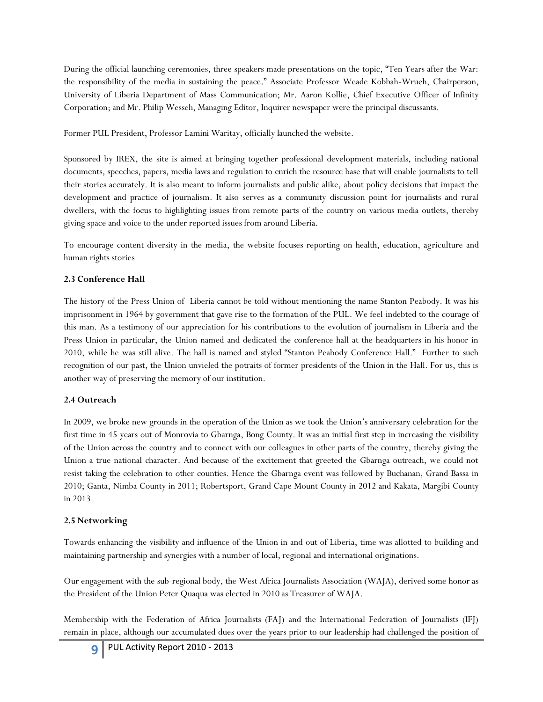During the official launching ceremonies, three speakers made presentations on the topic, "Ten Years after the War: the responsibility of the media in sustaining the peace." Associate Professor Weade Kobbah-Wrueh, Chairperson, University of Liberia Department of Mass Communication; Mr. Aaron Kollie, Chief Executive Officer of Infinity Corporation; and Mr. Philip Wesseh, Managing Editor, Inquirer newspaper were the principal discussants.

Former PUL President, Professor Lamini Waritay, officially launched the website.

Sponsored by IREX, the site is aimed at bringing together professional development materials, including national documents, speeches, papers, media laws and regulation to enrich the resource base that will enable journalists to tell their stories accurately. It is also meant to inform journalists and public alike, about policy decisions that impact the development and practice of journalism. It also serves as a community discussion point for journalists and rural dwellers, with the focus to highlighting issues from remote parts of the country on various media outlets, thereby giving space and voice to the under reported issues from around Liberia.

To encourage content diversity in the media, the website focuses reporting on health, education, agriculture and human rights stories

# **2.3 Conference Hall**

The history of the Press Union of Liberia cannot be told without mentioning the name Stanton Peabody. It was his imprisonment in 1964 by government that gave rise to the formation of the PUL. We feel indebted to the courage of this man. As a testimony of our appreciation for his contributions to the evolution of journalism in Liberia and the Press Union in particular, the Union named and dedicated the conference hall at the headquarters in his honor in 2010, while he was still alive. The hall is named and styled "Stanton Peabody Conference Hall." Further to such recognition of our past, the Union unvieled the potraits of former presidents of the Union in the Hall. For us, this is another way of preserving the memory of our institution.

### **2.4 Outreach**

In 2009, we broke new grounds in the operation of the Union as we took the Union's anniversary celebration for the first time in 45 years out of Monrovia to Gbarnga, Bong County. It was an initial first step in increasing the visibility of the Union across the country and to connect with our colleagues in other parts of the country, thereby giving the Union a true national character. And because of the excitement that greeted the Gbarnga outreach, we could not resist taking the celebration to other counties. Hence the Gbarnga event was followed by Buchanan, Grand Bassa in 2010; Ganta, Nimba County in 2011; Robertsport, Grand Cape Mount County in 2012 and Kakata, Margibi County in 2013.

# **2.5 Networking**

Towards enhancing the visibility and influence of the Union in and out of Liberia, time was allotted to building and maintaining partnership and synergies with a number of local, regional and international originations.

Our engagement with the sub-regional body, the West Africa Journalists Association (WAJA), derived some honor as the President of the Union Peter Quaqua was elected in 2010 as Treasurer of WAJA.

Membership with the Federation of Africa Journalists (FAJ) and the International Federation of Journalists (IFJ) remain in place, although our accumulated dues over the years prior to our leadership had challenged the position of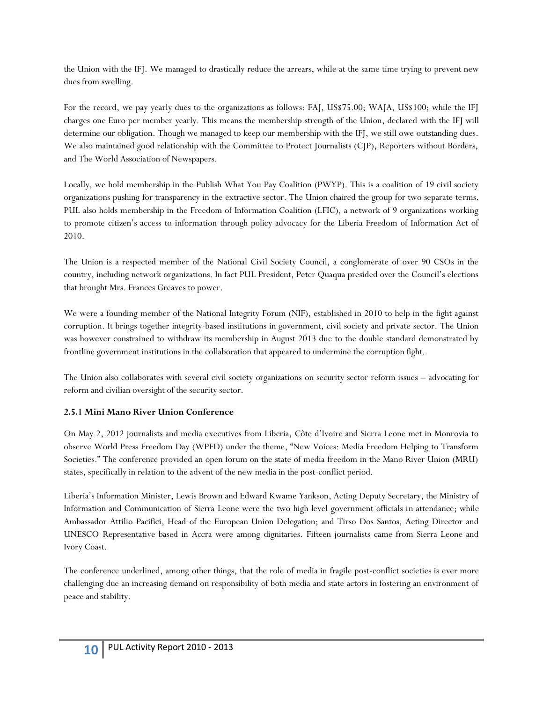the Union with the IFJ. We managed to drastically reduce the arrears, while at the same time trying to prevent new dues from swelling.

For the record, we pay yearly dues to the organizations as follows: FAJ, US\$75.00; WAJA, US\$100; while the IFJ charges one Euro per member yearly. This means the membership strength of the Union, declared with the IFJ will determine our obligation. Though we managed to keep our membership with the IFJ, we still owe outstanding dues. We also maintained good relationship with the Committee to Protect Journalists (CJP), Reporters without Borders, and The World Association of Newspapers.

Locally, we hold membership in the Publish What You Pay Coalition (PWYP). This is a coalition of 19 civil society organizations pushing for transparency in the extractive sector. The Union chaired the group for two separate terms. PUL also holds membership in the Freedom of Information Coalition (LFIC), a network of 9 organizations working to promote citizen's access to information through policy advocacy for the Liberia Freedom of Information Act of 2010.

The Union is a respected member of the National Civil Society Council, a conglomerate of over 90 CSOs in the country, including network organizations. In fact PUL President, Peter Quaqua presided over the Council's elections that brought Mrs. Frances Greaves to power.

We were a founding member of the National Integrity Forum (NIF), established in 2010 to help in the fight against corruption. It brings together integrity-based institutions in government, civil society and private sector. The Union was however constrained to withdraw its membership in August 2013 due to the double standard demonstrated by frontline government institutions in the collaboration that appeared to undermine the corruption fight.

The Union also collaborates with several civil society organizations on security sector reform issues – advocating for reform and civilian oversight of the security sector.

### **2.5.1 Mini Mano River Union Conference**

On May 2, 2012 journalists and media executives from Liberia, Côte d'Ivoire and Sierra Leone met in Monrovia to observe World Press Freedom Day (WPFD) under the theme, "New Voices: Media Freedom Helping to Transform Societies." The conference provided an open forum on the state of media freedom in the Mano River Union (MRU) states, specifically in relation to the advent of the new media in the post-conflict period.

Liberia's Information Minister, Lewis Brown and Edward Kwame Yankson, Acting Deputy Secretary, the Ministry of Information and Communication of Sierra Leone were the two high level government officials in attendance; while Ambassador Attilio Pacifici, Head of the European Union Delegation; and Tirso Dos Santos, Acting Director and UNESCO Representative based in Accra were among dignitaries. Fifteen journalists came from Sierra Leone and Ivory Coast.

The conference underlined, among other things, that the role of media in fragile post-conflict societies is ever more challenging due an increasing demand on responsibility of both media and state actors in fostering an environment of peace and stability.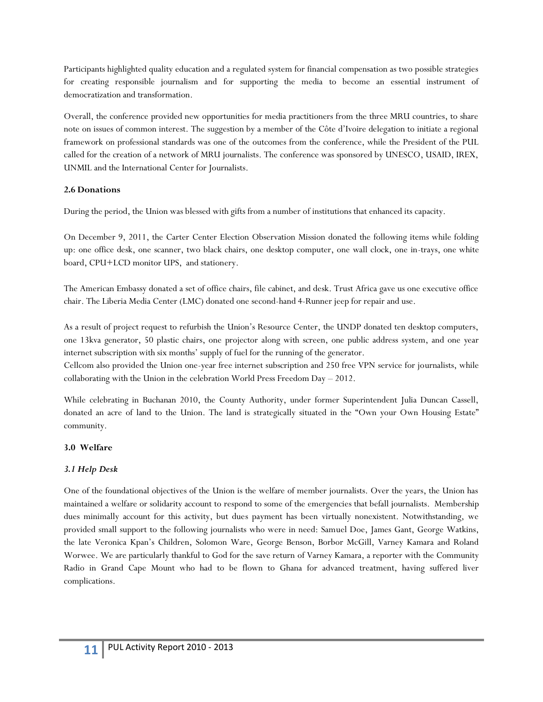Participants highlighted quality education and a regulated system for financial compensation as two possible strategies for creating responsible journalism and for supporting the media to become an essential instrument of democratization and transformation.

Overall, the conference provided new opportunities for media practitioners from the three MRU countries, to share note on issues of common interest. The suggestion by a member of the Côte d'Ivoire delegation to initiate a regional framework on professional standards was one of the outcomes from the conference, while the President of the PUL called for the creation of a network of MRU journalists. The conference was sponsored by UNESCO, USAID, IREX, UNMIL and the International Center for Journalists.

#### **2.6 Donations**

During the period, the Union was blessed with gifts from a number of institutions that enhanced its capacity.

On December 9, 2011, the Carter Center Election Observation Mission donated the following items while folding up: one office desk, one scanner, two black chairs, one desktop computer, one wall clock, one in-trays, one white board, CPU+LCD monitor UPS, and stationery.

The American Embassy donated a set of office chairs, file cabinet, and desk. Trust Africa gave us one executive office chair. The Liberia Media Center (LMC) donated one second-hand 4-Runner jeep for repair and use.

As a result of project request to refurbish the Union's Resource Center, the UNDP donated ten desktop computers, one 13kva generator, 50 plastic chairs, one projector along with screen, one public address system, and one year internet subscription with six months' supply of fuel for the running of the generator.

Cellcom also provided the Union one-year free internet subscription and 250 free VPN service for journalists, while collaborating with the Union in the celebration World Press Freedom Day – 2012.

While celebrating in Buchanan 2010, the County Authority, under former Superintendent Julia Duncan Cassell, donated an acre of land to the Union. The land is strategically situated in the "Own your Own Housing Estate" community.

### **3.0 Welfare**

### *3.1 Help Desk*

One of the foundational objectives of the Union is the welfare of member journalists. Over the years, the Union has maintained a welfare or solidarity account to respond to some of the emergencies that befall journalists. Membership dues minimally account for this activity, but dues payment has been virtually nonexistent. Notwithstanding, we provided small support to the following journalists who were in need: Samuel Doe, James Gant, George Watkins, the late Veronica Kpan's Children, Solomon Ware, George Benson, Borbor McGill, Varney Kamara and Roland Worwee. We are particularly thankful to God for the save return of Varney Kamara, a reporter with the Community Radio in Grand Cape Mount who had to be flown to Ghana for advanced treatment, having suffered liver complications.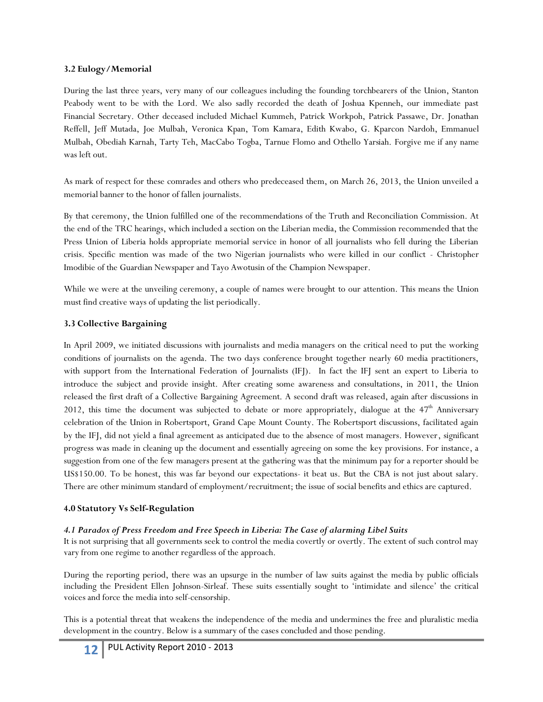#### **3.2 Eulogy/Memorial**

During the last three years, very many of our colleagues including the founding torchbearers of the Union, Stanton Peabody went to be with the Lord. We also sadly recorded the death of Joshua Kpenneh, our immediate past Financial Secretary. Other deceased included Michael Kummeh, Patrick Workpoh, Patrick Passawe, Dr. Jonathan Reffell, Jeff Mutada, Joe Mulbah, Veronica Kpan, Tom Kamara, Edith Kwabo, G. Kparcon Nardoh, Emmanuel Mulbah, Obediah Karnah, Tarty Teh, MacCabo Togba, Tarnue Flomo and Othello Yarsiah. Forgive me if any name was left out.

As mark of respect for these comrades and others who predeceased them, on March 26, 2013, the Union unveiled a memorial banner to the honor of fallen journalists.

By that ceremony, the Union fulfilled one of the recommendations of the Truth and Reconciliation Commission. At the end of the TRC hearings, which included a section on the Liberian media, the Commission recommended that the Press Union of Liberia holds appropriate memorial service in honor of all journalists who fell during the Liberian crisis. Specific mention was made of the two Nigerian journalists who were killed in our conflict - Christopher Imodibie of the Guardian Newspaper and Tayo Awotusin of the Champion Newspaper.

While we were at the unveiling ceremony, a couple of names were brought to our attention. This means the Union must find creative ways of updating the list periodically.

### **3.3 Collective Bargaining**

In April 2009, we initiated discussions with journalists and media managers on the critical need to put the working conditions of journalists on the agenda. The two days conference brought together nearly 60 media practitioners, with support from the International Federation of Journalists (IFJ). In fact the IFJ sent an expert to Liberia to introduce the subject and provide insight. After creating some awareness and consultations, in 2011, the Union released the first draft of a Collective Bargaining Agreement. A second draft was released, again after discussions in 2012, this time the document was subjected to debate or more appropriately, dialogue at the  $47<sup>th</sup>$  Anniversary celebration of the Union in Robertsport, Grand Cape Mount County. The Robertsport discussions, facilitated again by the IFJ, did not yield a final agreement as anticipated due to the absence of most managers. However, significant progress was made in cleaning up the document and essentially agreeing on some the key provisions. For instance, a suggestion from one of the few managers present at the gathering was that the minimum pay for a reporter should be US\$150.00. To be honest, this was far beyond our expectations- it beat us. But the CBA is not just about salary. There are other minimum standard of employment/recruitment; the issue of social benefits and ethics are captured.

### **4.0 Statutory Vs Self-Regulation**

### *4.1 Paradox of Press Freedom and Free Speech in Liberia: The Case of alarming Libel Suits*

It is not surprising that all governments seek to control the media covertly or overtly. The extent of such control may vary from one regime to another regardless of the approach.

During the reporting period, there was an upsurge in the number of law suits against the media by public officials including the President Ellen Johnson-Sirleaf. These suits essentially sought to 'intimidate and silence' the critical voices and force the media into self-censorship.

This is a potential threat that weakens the independence of the media and undermines the free and pluralistic media development in the country. Below is a summary of the cases concluded and those pending.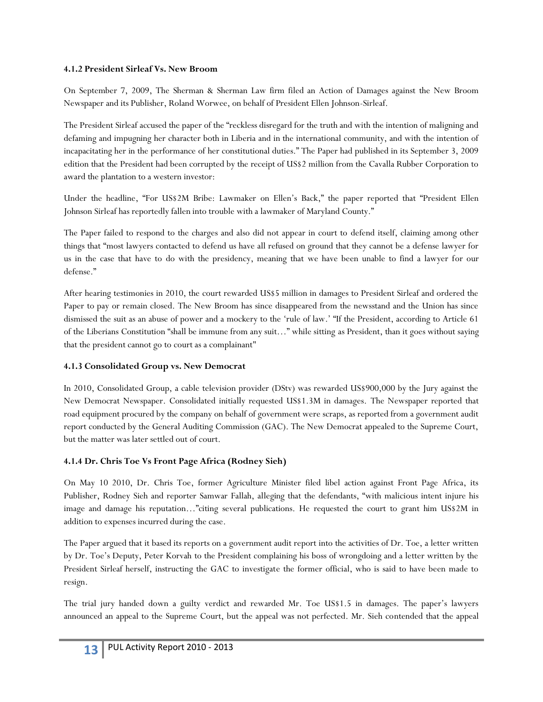#### **4.1.2 President Sirleaf Vs. New Broom**

On September 7, 2009, The Sherman & Sherman Law firm filed an Action of Damages against the New Broom Newspaper and its Publisher, Roland Worwee, on behalf of President Ellen Johnson-Sirleaf.

The President Sirleaf accused the paper of the "reckless disregard for the truth and with the intention of maligning and defaming and impugning her character both in Liberia and in the international community, and with the intention of incapacitating her in the performance of her constitutional duties." The Paper had published in its September 3, 2009 edition that the President had been corrupted by the receipt of US\$2 million from the Cavalla Rubber Corporation to award the plantation to a western investor:

Under the headline, "For US\$2M Bribe: Lawmaker on Ellen's Back," the paper reported that "President Ellen Johnson Sirleaf has reportedly fallen into trouble with a lawmaker of Maryland County."

The Paper failed to respond to the charges and also did not appear in court to defend itself, claiming among other things that "most lawyers contacted to defend us have all refused on ground that they cannot be a defense lawyer for us in the case that have to do with the presidency, meaning that we have been unable to find a lawyer for our defense."

After hearing testimonies in 2010, the court rewarded US\$5 million in damages to President Sirleaf and ordered the Paper to pay or remain closed. The New Broom has since disappeared from the newsstand and the Union has since dismissed the suit as an abuse of power and a mockery to the 'rule of law.' "If the President, according to Article 61 of the Liberians Constitution "shall be immune from any suit…" while sitting as President, than it goes without saying that the president cannot go to court as a complainant"

### **4.1.3 Consolidated Group vs. New Democrat**

In 2010, Consolidated Group, a cable television provider (DStv) was rewarded US\$900,000 by the Jury against the New Democrat Newspaper. Consolidated initially requested US\$1.3M in damages. The Newspaper reported that road equipment procured by the company on behalf of government were scraps, as reported from a government audit report conducted by the General Auditing Commission (GAC). The New Democrat appealed to the Supreme Court, but the matter was later settled out of court.

# **4.1.4 Dr. Chris Toe Vs Front Page Africa (Rodney Sieh)**

On May 10 2010, Dr. Chris Toe, former Agriculture Minister filed libel action against Front Page Africa, its Publisher, Rodney Sieh and reporter Samwar Fallah, alleging that the defendants, "with malicious intent injure his image and damage his reputation…"citing several publications. He requested the court to grant him US\$2M in addition to expenses incurred during the case.

The Paper argued that it based its reports on a government audit report into the activities of Dr. Toe, a letter written by Dr. Toe's Deputy, Peter Korvah to the President complaining his boss of wrongdoing and a letter written by the President Sirleaf herself, instructing the GAC to investigate the former official, who is said to have been made to resign.

The trial jury handed down a guilty verdict and rewarded Mr. Toe US\$1.5 in damages. The paper's lawyers announced an appeal to the Supreme Court, but the appeal was not perfected. Mr. Sieh contended that the appeal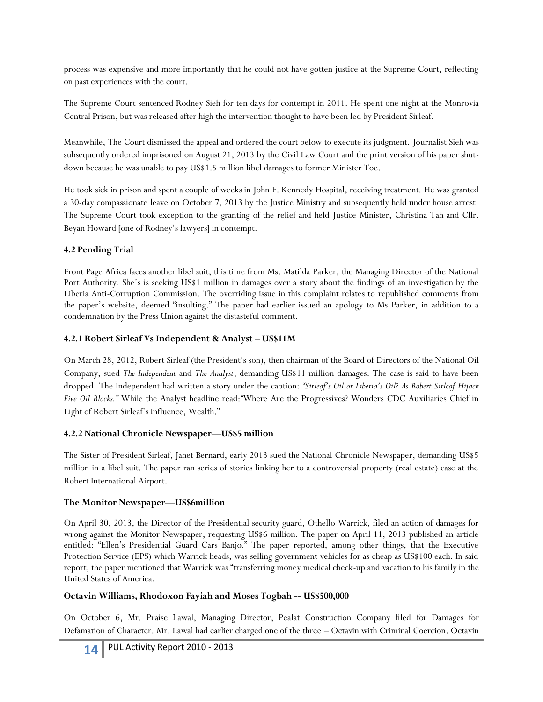process was expensive and more importantly that he could not have gotten justice at the Supreme Court, reflecting on past experiences with the court.

The Supreme Court sentenced Rodney Sieh for ten days for contempt in 2011. He spent one night at the Monrovia Central Prison, but was released after high the intervention thought to have been led by President Sirleaf.

Meanwhile, The Court dismissed the appeal and ordered the court below to execute its judgment. Journalist Sieh was subsequently ordered imprisoned on August 21, 2013 by the Civil Law Court and the print version of his paper shutdown because he was unable to pay US\$1.5 million libel damages to former Minister Toe.

He took sick in prison and spent a couple of weeks in John F. Kennedy Hospital, receiving treatment. He was granted a 30-day compassionate leave on October 7, 2013 by the Justice Ministry and subsequently held under house arrest. The Supreme Court took exception to the granting of the relief and held Justice Minister, Christina Tah and Cllr. Beyan Howard [one of Rodney's lawyers] in contempt.

### **4.2 Pending Trial**

Front Page Africa faces another libel suit, this time from Ms. Matilda Parker, the Managing Director of the National Port Authority. She's is seeking US\$1 million in damages over a story about the findings of an investigation by the Liberia Anti-Corruption Commission. The overriding issue in this complaint relates to republished comments from the paper's website, deemed "insulting." The paper had earlier issued an apology to Ms Parker, in addition to a condemnation by the Press Union against the distasteful comment.

### **4.2.1 Robert Sirleaf Vs Independent & Analyst – US\$11M**

On March 28, 2012, Robert Sirleaf (the President's son), then chairman of the Board of Directors of the National Oil Company, sued *The Independent* and *The Analyst*, demanding US\$11 million damages. The case is said to have been dropped. The Independent had written a story under the caption: *"Sirleaf's Oil or Liberia's Oil? As Robert Sirleaf Hijack Five Oil Blocks."* While the Analyst headline read:*"*Where Are the Progressives? Wonders CDC Auxiliaries Chief in Light of Robert Sirleaf's Influence, Wealth."

### **4.2.2 National Chronicle Newspaper—US\$5 million**

The Sister of President Sirleaf, Janet Bernard, early 2013 sued the National Chronicle Newspaper, demanding US\$5 million in a libel suit. The paper ran series of stories linking her to a controversial property (real estate) case at the Robert International Airport.

# **The Monitor Newspaper—US\$6million**

On April 30, 2013, the Director of the Presidential security guard, Othello Warrick, filed an action of damages for wrong against the Monitor Newspaper, requesting US\$6 million. The paper on April 11, 2013 published an article entitled: "Ellen's Presidential Guard Cars Banjo." The paper reported, among other things, that the Executive Protection Service (EPS) which Warrick heads, was selling government vehicles for as cheap as US\$100 each. In said report, the paper mentioned that Warrick was "transferring money medical check-up and vacation to his family in the United States of America*.*

# **Octavin Williams, Rhodoxon Fayiah and Moses Togbah -- US\$500,000**

On October 6, Mr. Praise Lawal, Managing Director, Pealat Construction Company filed for Damages for Defamation of Character. Mr. Lawal had earlier charged one of the three – Octavin with Criminal Coercion. Octavin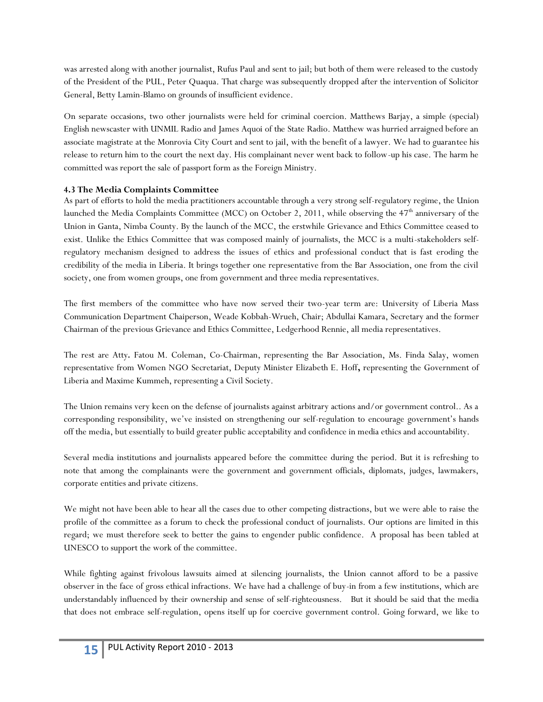was arrested along with another journalist, Rufus Paul and sent to jail; but both of them were released to the custody of the President of the PUL, Peter Quaqua. That charge was subsequently dropped after the intervention of Solicitor General, Betty Lamin-Blamo on grounds of insufficient evidence.

On separate occasions, two other journalists were held for criminal coercion. Matthews Barjay, a simple (special) English newscaster with UNMIL Radio and James Aquoi of the State Radio. Matthew was hurried arraigned before an associate magistrate at the Monrovia City Court and sent to jail, with the benefit of a lawyer. We had to guarantee his release to return him to the court the next day. His complainant never went back to follow-up his case. The harm he committed was report the sale of passport form as the Foreign Ministry.

#### **4.3 The Media Complaints Committee**

As part of efforts to hold the media practitioners accountable through a very strong self-regulatory regime, the Union launched the Media Complaints Committee (MCC) on October 2, 2011, while observing the 47<sup>th</sup> anniversary of the Union in Ganta, Nimba County. By the launch of the MCC, the erstwhile Grievance and Ethics Committee ceased to exist. Unlike the Ethics Committee that was composed mainly of journalists, the MCC is a multi-stakeholders selfregulatory mechanism designed to address the issues of ethics and professional conduct that is fast eroding the credibility of the media in Liberia. It brings together one representative from the Bar Association, one from the civil society, one from women groups, one from government and three media representatives.

The first members of the committee who have now served their two-year term are: University of Liberia Mass Communication Department Chaiperson, Weade Kobbah-Wrueh, Chair; Abdullai Kamara, Secretary and the former Chairman of the previous Grievance and Ethics Committee, Ledgerhood Rennie, all media representatives.

The rest are Atty*.* Fatou M. Coleman, Co-Chairman, representing the Bar Association, Ms. Finda Salay, women representative from Women NGO Secretariat, Deputy Minister Elizabeth E. Hoff**,** representing the Government of Liberia and Maxime Kummeh, representing a Civil Society.

The Union remains very keen on the defense of journalists against arbitrary actions and/or government control.. As a corresponding responsibility, we've insisted on strengthening our self-regulation to encourage government's hands off the media, but essentially to build greater public acceptability and confidence in media ethics and accountability.

Several media institutions and journalists appeared before the committee during the period. But it is refreshing to note that among the complainants were the government and government officials, diplomats, judges, lawmakers, corporate entities and private citizens.

We might not have been able to hear all the cases due to other competing distractions, but we were able to raise the profile of the committee as a forum to check the professional conduct of journalists. Our options are limited in this regard; we must therefore seek to better the gains to engender public confidence. A proposal has been tabled at UNESCO to support the work of the committee.

While fighting against frivolous lawsuits aimed at silencing journalists, the Union cannot afford to be a passive observer in the face of gross ethical infractions. We have had a challenge of buy-in from a few institutions, which are understandably influenced by their ownership and sense of self-righteousness. But it should be said that the media that does not embrace self-regulation, opens itself up for coercive government control. Going forward, we like to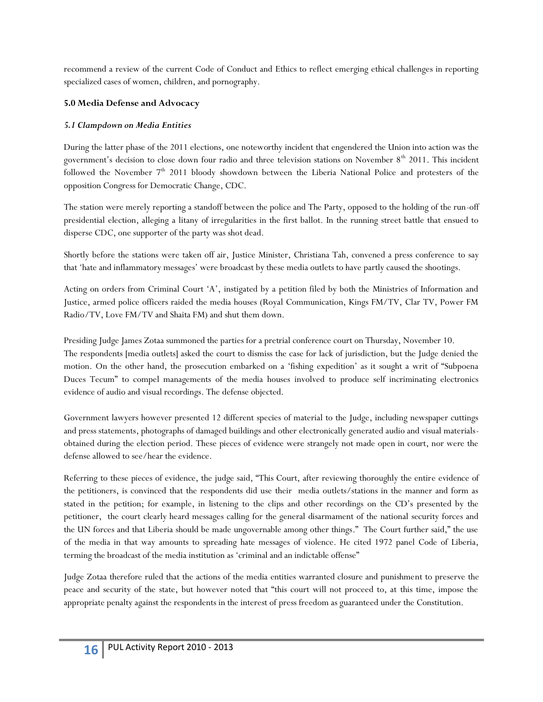recommend a review of the current Code of Conduct and Ethics to reflect emerging ethical challenges in reporting specialized cases of women, children, and pornography.

#### **5.0 Media Defense and Advocacy**

#### *5.1 Clampdown on Media Entities*

During the latter phase of the 2011 elections, one noteworthy incident that engendered the Union into action was the government's decision to close down four radio and three television stations on November  $8<sup>th</sup>$  2011. This incident followed the November  $7<sup>th</sup>$  2011 bloody showdown between the Liberia National Police and protesters of the opposition Congress for Democratic Change, CDC.

The station were merely reporting a standoff between the police and The Party, opposed to the holding of the run-off presidential election, alleging a litany of irregularities in the first ballot. In the running street battle that ensued to disperse CDC, one supporter of the party was shot dead.

Shortly before the stations were taken off air, Justice Minister, Christiana Tah, convened a press conference to say that 'hate and inflammatory messages' were broadcast by these media outlets to have partly caused the shootings.

Acting on orders from Criminal Court 'A', instigated by a petition filed by both the Ministries of Information and Justice, armed police officers raided the media houses (Royal Communication, Kings FM/TV, Clar TV, Power FM Radio/TV, Love FM/TV and Shaita FM) and shut them down.

Presiding Judge James Zotaa summoned the parties for a pretrial conference court on Thursday, November 10. The respondents [media outlets] asked the court to dismiss the case for lack of jurisdiction, but the Judge denied the motion. On the other hand, the prosecution embarked on a 'fishing expedition' as it sought a writ of "Subpoena Duces Tecum" to compel managements of the media houses involved to produce self incriminating electronics evidence of audio and visual recordings. The defense objected.

Government lawyers however presented 12 different species of material to the Judge, including newspaper cuttings and press statements, photographs of damaged buildings and other electronically generated audio and visual materialsobtained during the election period. These pieces of evidence were strangely not made open in court, nor were the defense allowed to see/hear the evidence.

Referring to these pieces of evidence, the judge said, "This Court, after reviewing thoroughly the entire evidence of the petitioners, is convinced that the respondents did use their media outlets/stations in the manner and form as stated in the petition; for example, in listening to the clips and other recordings on the CD's presented by the petitioner, the court clearly heard messages calling for the general disarmament of the national security forces and the UN forces and that Liberia should be made ungovernable among other things." The Court further said," the use of the media in that way amounts to spreading hate messages of violence. He cited 1972 panel Code of Liberia, terming the broadcast of the media institution as 'criminal and an indictable offense"

Judge Zotaa therefore ruled that the actions of the media entities warranted closure and punishment to preserve the peace and security of the state, but however noted that "this court will not proceed to, at this time, impose the appropriate penalty against the respondents in the interest of press freedom as guaranteed under the Constitution.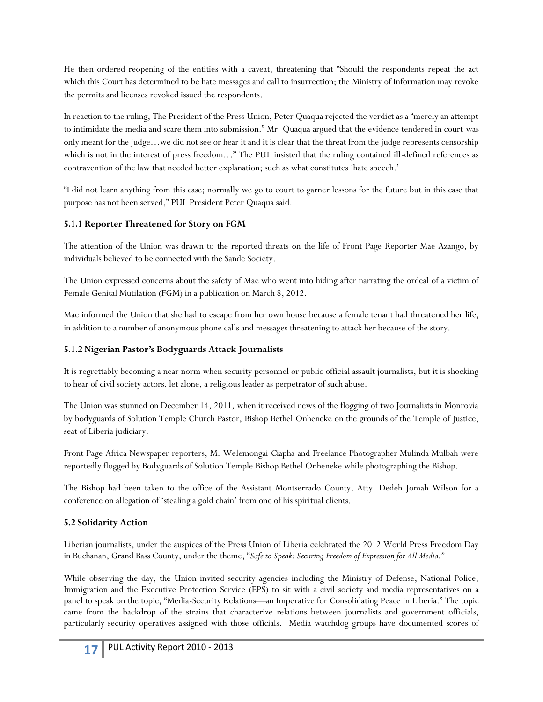He then ordered reopening of the entities with a caveat, threatening that "Should the respondents repeat the act which this Court has determined to be hate messages and call to insurrection; the Ministry of Information may revoke the permits and licenses revoked issued the respondents.

In reaction to the ruling, The President of the Press Union, Peter Quaqua rejected the verdict as a "merely an attempt to intimidate the media and scare them into submission." Mr. Quaqua argued that the evidence tendered in court was only meant for the judge…we did not see or hear it and it is clear that the threat from the judge represents censorship which is not in the interest of press freedom…" The PUL insisted that the ruling contained ill-defined references as contravention of the law that needed better explanation; such as what constitutes 'hate speech.'

"I did not learn anything from this case; normally we go to court to garner lessons for the future but in this case that purpose has not been served," PUL President Peter Quaqua said.

### **5.1.1 Reporter Threatened for Story on FGM**

The attention of the Union was drawn to the reported threats on the life of Front Page Reporter Mae Azango, by individuals believed to be connected with the Sande Society.

The Union expressed concerns about the safety of Mae who went into hiding after narrating the ordeal of a victim of Female Genital Mutilation (FGM) in a publication on March 8, 2012.

Mae informed the Union that she had to escape from her own house because a female tenant had threatened her life, in addition to a number of anonymous phone calls and messages threatening to attack her because of the story.

# **5.1.2 Nigerian Pastor's Bodyguards Attack Journalists**

It is regrettably becoming a near norm when security personnel or public official assault journalists, but it is shocking to hear of civil society actors, let alone, a religious leader as perpetrator of such abuse.

The Union was stunned on December 14, 2011, when it received news of the flogging of two Journalists in Monrovia by bodyguards of Solution Temple Church Pastor, Bishop Bethel Onheneke on the grounds of the Temple of Justice, seat of Liberia judiciary.

Front Page Africa Newspaper reporters, M. Welemongai Ciapha and Freelance Photographer Mulinda Mulbah were reportedly flogged by Bodyguards of Solution Temple Bishop Bethel Onheneke while photographing the Bishop.

The Bishop had been taken to the office of the Assistant Montserrado County, Atty. Dedeh Jomah Wilson for a conference on allegation of 'stealing a gold chain' from one of his spiritual clients.

### **5.2 Solidarity Action**

Liberian journalists, under the auspices of the Press Union of Liberia celebrated the 2012 World Press Freedom Day in Buchanan, Grand Bass County, under the theme, "*Safe to Speak: Securing Freedom of Expression for All Media."* 

While observing the day, the Union invited security agencies including the Ministry of Defense, National Police, Immigration and the Executive Protection Service (EPS) to sit with a civil society and media representatives on a panel to speak on the topic, "Media-Security Relations—an Imperative for Consolidating Peace in Liberia." The topic came from the backdrop of the strains that characterize relations between journalists and government officials, particularly security operatives assigned with those officials. Media watchdog groups have documented scores of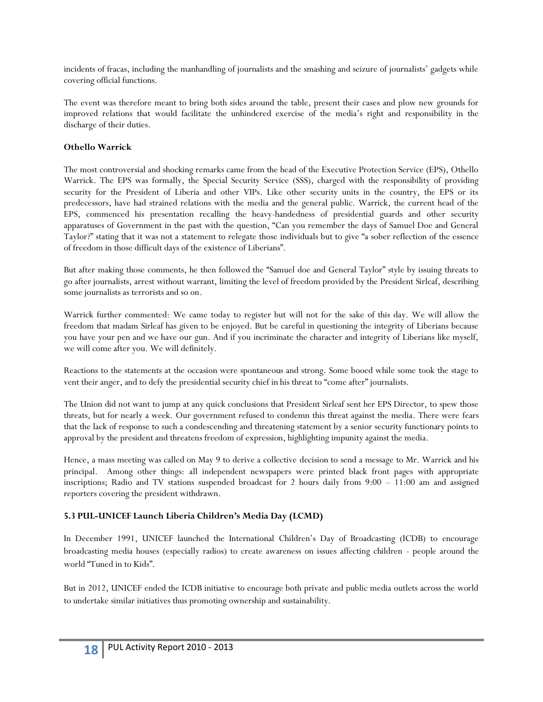incidents of fracas, including the manhandling of journalists and the smashing and seizure of journalists' gadgets while covering official functions.

The event was therefore meant to bring both sides around the table, present their cases and plow new grounds for improved relations that would facilitate the unhindered exercise of the media's right and responsibility in the discharge of their duties.

#### **Othello Warrick**

The most controversial and shocking remarks came from the head of the Executive Protection Service (EPS), Othello Warrick. The EPS was formally, the Special Security Service (SSS), charged with the responsibility of providing security for the President of Liberia and other VIPs. Like other security units in the country, the EPS or its predecessors, have had strained relations with the media and the general public. Warrick, the current head of the EPS, commenced his presentation recalling the heavy-handedness of presidential guards and other security apparatuses of Government in the past with the question, "Can you remember the days of Samuel Doe and General Taylor?" stating that it was not a statement to relegate those individuals but to give "a sober reflection of the essence of freedom in those difficult days of the existence of Liberians".

But after making those comments, he then followed the "Samuel doe and General Taylor" style by issuing threats to go after journalists, arrest without warrant, limiting the level of freedom provided by the President Sirleaf, describing some journalists as terrorists and so on.

Warrick further commented: We came today to register but will not for the sake of this day. We will allow the freedom that madam Sirleaf has given to be enjoyed. But be careful in questioning the integrity of Liberians because you have your pen and we have our gun. And if you incriminate the character and integrity of Liberians like myself, we will come after you. We will definitely.

Reactions to the statements at the occasion were spontaneous and strong. Some booed while some took the stage to vent their anger, and to defy the presidential security chief in his threat to "come after" journalists.

The Union did not want to jump at any quick conclusions that President Sirleaf sent her EPS Director, to spew those threats, but for nearly a week. Our government refused to condemn this threat against the media. There were fears that the lack of response to such a condescending and threatening statement by a senior security functionary points to approval by the president and threatens freedom of expression, highlighting impunity against the media.

Hence, a mass meeting was called on May 9 to derive a collective decision to send a message to Mr. Warrick and his principal. Among other things: all independent newspapers were printed black front pages with appropriate inscriptions; Radio and TV stations suspended broadcast for 2 hours daily from 9:00 – 11:00 am and assigned reporters covering the president withdrawn.

### **5.3 PUL-UNICEF Launch Liberia Children's Media Day (LCMD)**

In December 1991, UNICEF launched the International Children's Day of Broadcasting (ICDB) to encourage broadcasting media houses (especially radios) to create awareness on issues affecting children - people around the world "Tuned in to Kids".

But in 2012, UNICEF ended the ICDB initiative to encourage both private and public media outlets across the world to undertake similar initiatives thus promoting ownership and sustainability.